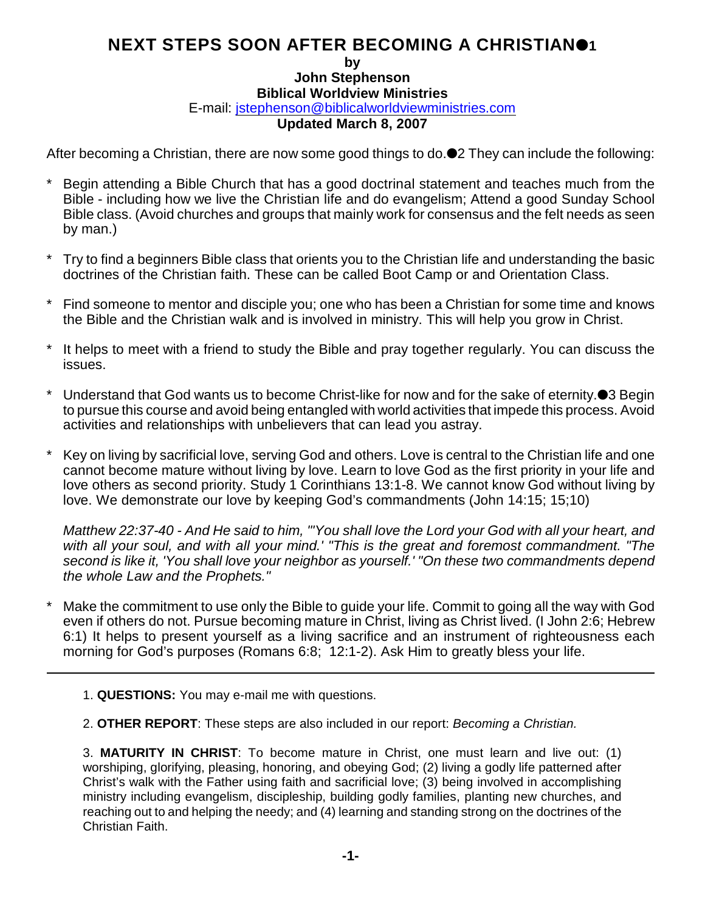## **NEXT STEPS SOON AFTER BECOMING A CHRISTIAN1**

**by**

**John Stephenson Biblical Worldview Ministries**

E-mail: [jstephenson@biblicalworldviewministries.com](mailto:jstephenson@biblicalworldviewministries.com)

## **Updated March 8, 2007**

After becoming a Christian, there are now some good things to do.<sup>1</sup> They can include the following:

- Begin attending a Bible Church that has a good doctrinal statement and teaches much from the Bible - including how we live the Christian life and do evangelism; Attend a good Sunday School Bible class. (Avoid churches and groups that mainly work for consensus and the felt needs as seen by man.)
- Try to find a beginners Bible class that orients you to the Christian life and understanding the basic doctrines of the Christian faith. These can be called Boot Camp or and Orientation Class.
- \* Find someone to mentor and disciple you; one who has been a Christian for some time and knows the Bible and the Christian walk and is involved in ministry. This will help you grow in Christ.
- It helps to meet with a friend to study the Bible and pray together regularly. You can discuss the issues.
- Understand that God wants us to become Christ-like for now and for the sake of eternity.<sup>3</sup> Begin to pursue this course and avoid being entangled with world activities that impede this process. Avoid activities and relationships with unbelievers that can lead you astray.
- Key on living by sacrificial love, serving God and others. Love is central to the Christian life and one cannot become mature without living by love. Learn to love God as the first priority in your life and love others as second priority. Study 1 Corinthians 13:1-8. We cannot know God without living by love. We demonstrate our love by keeping God's commandments (John 14:15; 15;10)

*Matthew 22:37-40 - And He said to him, "'You shall love the Lord your God with all your heart, and with all your soul, and with all your mind.' "This is the great and foremost commandment. "The second is like it, 'You shall love your neighbor as yourself.' "On these two commandments depend the whole Law and the Prophets."*

- Make the commitment to use only the Bible to guide your life. Commit to going all the way with God even if others do not. Pursue becoming mature in Christ, living as Christ lived. (I John 2:6; Hebrew 6:1) It helps to present yourself as a living sacrifice and an instrument of righteousness each morning for God's purposes (Romans 6:8; 12:1-2). Ask Him to greatly bless your life.
	- 1. **QUESTIONS:** You may e-mail me with questions.
	- 2. **OTHER REPORT**: These steps are also included in our report: *Becoming a Christian.*

3. **MATURITY IN CHRIST**: To become mature in Christ, one must learn and live out: (1) worshiping, glorifying, pleasing, honoring, and obeying God; (2) living a godly life patterned after Christ's walk with the Father using faith and sacrificial love; (3) being involved in accomplishing ministry including evangelism, discipleship, building godly families, planting new churches, and reaching out to and helping the needy; and (4) learning and standing strong on the doctrines of the Christian Faith.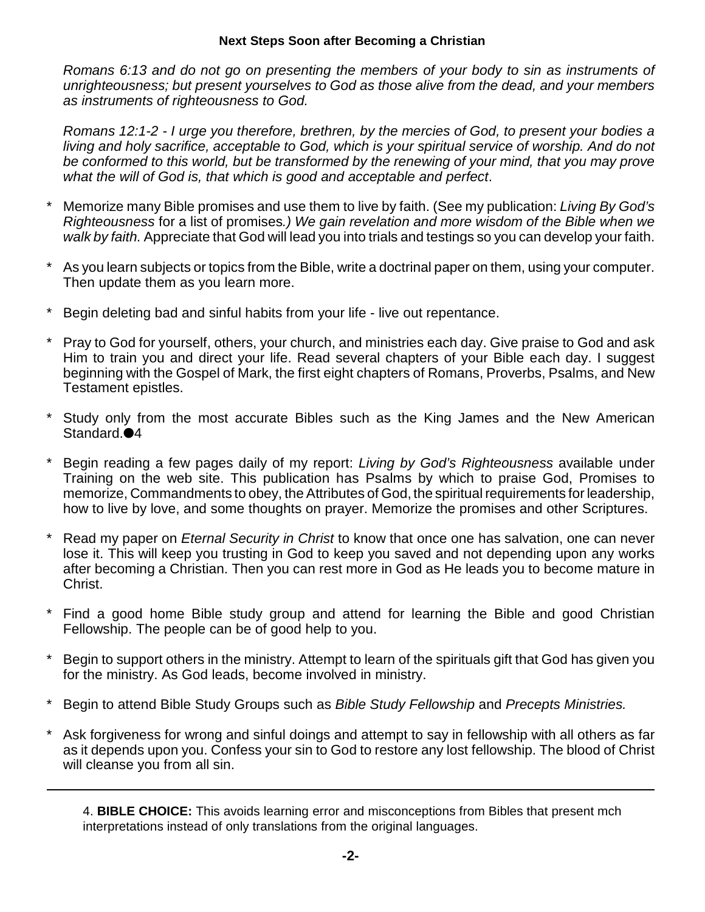## **Next Steps Soon after Becoming a Christian**

*Romans 6:13 and do not go on presenting the members of your body to sin as instruments of unrighteousness; but present yourselves to God as those alive from the dead, and your members as instruments of righteousness to God.*

*Romans 12:1-2 - I urge you therefore, brethren, by the mercies of God, to present your bodies a living and holy sacrifice, acceptable to God, which is your spiritual service of worship. And do not be conformed to this world, but be transformed by the renewing of your mind, that you may prove what the will of God is, that which is good and acceptable and perfect*.

- \* Memorize many Bible promises and use them to live by faith. (See my publication: *Living By God's Righteousness* for a list of promises*.) We gain revelation and more wisdom of the Bible when we walk by faith.* Appreciate that God will lead you into trials and testings so you can develop your faith.
- \* As you learn subjects or topics from the Bible, write a doctrinal paper on them, using your computer. Then update them as you learn more.
- Begin deleting bad and sinful habits from your life live out repentance.
- Pray to God for yourself, others, your church, and ministries each day. Give praise to God and ask Him to train you and direct your life. Read several chapters of your Bible each day. I suggest beginning with the Gospel of Mark, the first eight chapters of Romans, Proverbs, Psalms, and New Testament epistles.
- Study only from the most accurate Bibles such as the King James and the New American Standard.<sup>4</sup>
- \* Begin reading a few pages daily of my report: *Living by God's Righteousness* available under Training on the web site. This publication has Psalms by which to praise God, Promises to memorize, Commandments to obey, the Attributes of God, the spiritual requirements for leadership, how to live by love, and some thoughts on prayer. Memorize the promises and other Scriptures.
- \* Read my paper on *Eternal Security in Christ* to know that once one has salvation, one can never lose it. This will keep you trusting in God to keep you saved and not depending upon any works after becoming a Christian. Then you can rest more in God as He leads you to become mature in Christ.
- Find a good home Bible study group and attend for learning the Bible and good Christian Fellowship. The people can be of good help to you.
- Begin to support others in the ministry. Attempt to learn of the spirituals gift that God has given you for the ministry. As God leads, become involved in ministry.
- \* Begin to attend Bible Study Groups such as *Bible Study Fellowship* and *Precepts Ministries.*
- Ask forgiveness for wrong and sinful doings and attempt to say in fellowship with all others as far as it depends upon you. Confess your sin to God to restore any lost fellowship. The blood of Christ will cleanse you from all sin.

4. **BIBLE CHOICE:** This avoids learning error and misconceptions from Bibles that present mch interpretations instead of only translations from the original languages.